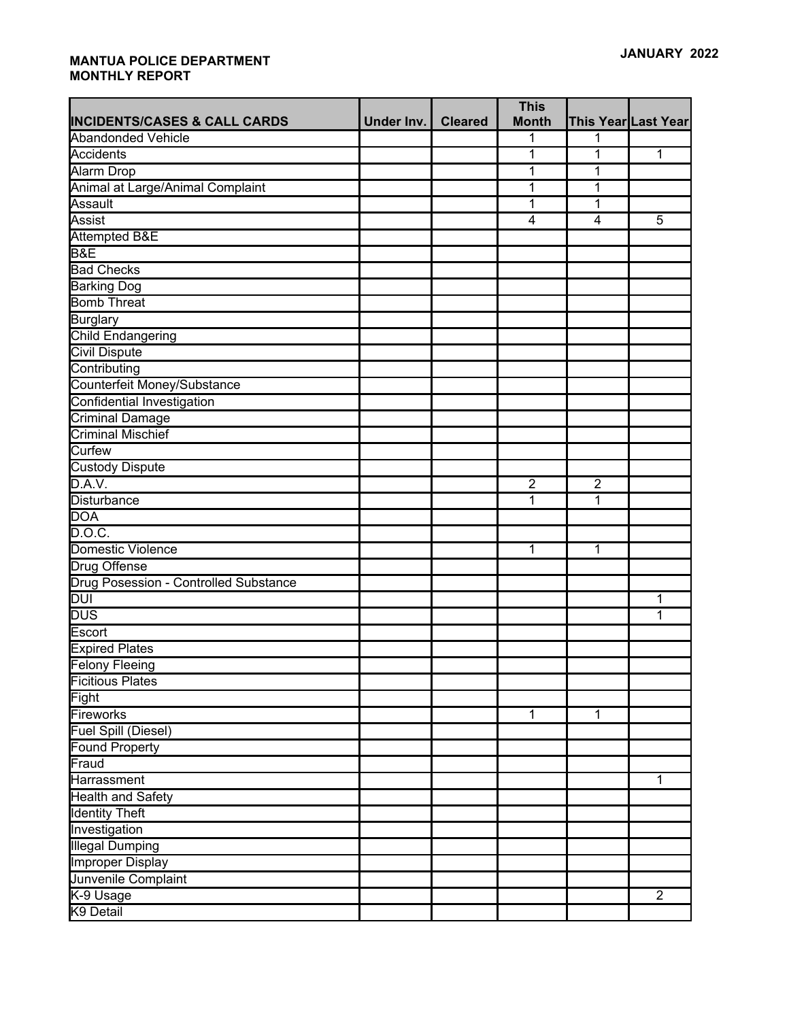|                                         |            |                | <b>This</b>    |                |                     |
|-----------------------------------------|------------|----------------|----------------|----------------|---------------------|
| <b>INCIDENTS/CASES &amp; CALL CARDS</b> | Under Inv. | <b>Cleared</b> | <b>Month</b>   |                | This Year Last Year |
| <b>Abandonded Vehicle</b>               |            |                | 1              | 1              |                     |
| Accidents                               |            |                | 1              | 1              | 1                   |
| <b>Alarm Drop</b>                       |            |                | 1              | 1              |                     |
| Animal at Large/Animal Complaint        |            |                | 1              | 1              |                     |
| Assault                                 |            |                | 1              | 1              |                     |
| Assist                                  |            |                | 4              | $\overline{4}$ | 5                   |
| Attempted B&E                           |            |                |                |                |                     |
| B&E                                     |            |                |                |                |                     |
| <b>Bad Checks</b>                       |            |                |                |                |                     |
| <b>Barking Dog</b>                      |            |                |                |                |                     |
| <b>Bomb Threat</b>                      |            |                |                |                |                     |
| <b>Burglary</b>                         |            |                |                |                |                     |
| <b>Child Endangering</b>                |            |                |                |                |                     |
| <b>Civil Dispute</b>                    |            |                |                |                |                     |
| Contributing                            |            |                |                |                |                     |
| Counterfeit Money/Substance             |            |                |                |                |                     |
| Confidential Investigation              |            |                |                |                |                     |
| Criminal Damage                         |            |                |                |                |                     |
| <b>Criminal Mischief</b>                |            |                |                |                |                     |
| Curfew                                  |            |                |                |                |                     |
| <b>Custody Dispute</b>                  |            |                |                |                |                     |
| D.A.V.                                  |            |                | $\overline{2}$ | $\overline{2}$ |                     |
| Disturbance                             |            |                | $\overline{1}$ | 1              |                     |
| <b>DOA</b>                              |            |                |                |                |                     |
| D.O.C.                                  |            |                |                |                |                     |
| Domestic Violence                       |            |                | 1              | 1              |                     |
| <b>Drug Offense</b>                     |            |                |                |                |                     |
| Drug Posession - Controlled Substance   |            |                |                |                |                     |
| $\overline{DUI}$                        |            |                |                |                | 1                   |
| <b>DUS</b>                              |            |                |                |                | 1                   |
| Escort                                  |            |                |                |                |                     |
| <b>Expired Plates</b>                   |            |                |                |                |                     |
| Felony Fleeing                          |            |                |                |                |                     |
| <b>Ficitious Plates</b>                 |            |                |                |                |                     |
| Fight                                   |            |                |                |                |                     |
| Fireworks                               |            |                | $\mathbf{1}$   | $\overline{1}$ |                     |
| <b>Fuel Spill (Diesel)</b>              |            |                |                |                |                     |
| <b>Found Property</b>                   |            |                |                |                |                     |
| Fraud                                   |            |                |                |                |                     |
| Harrassment                             |            |                |                |                | 1                   |
| <b>Health and Safety</b>                |            |                |                |                |                     |
| <b>Identity Theft</b>                   |            |                |                |                |                     |
| Investigation                           |            |                |                |                |                     |
| <b>Illegal Dumping</b>                  |            |                |                |                |                     |
| <b>Improper Display</b>                 |            |                |                |                |                     |
| Junvenile Complaint                     |            |                |                |                |                     |
| K-9 Usage                               |            |                |                |                | $\overline{2}$      |
| K9 Detail                               |            |                |                |                |                     |
|                                         |            |                |                |                |                     |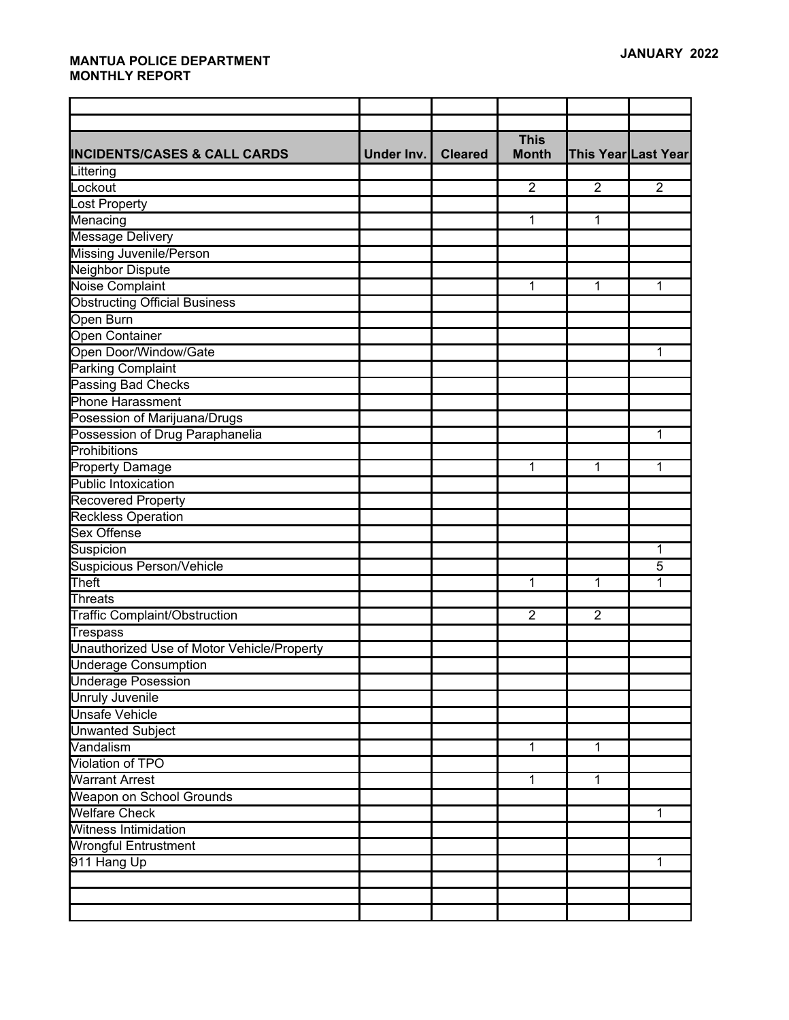|                                            |            |                | <b>This</b>    |                |                     |
|--------------------------------------------|------------|----------------|----------------|----------------|---------------------|
| <b>INCIDENTS/CASES &amp; CALL CARDS</b>    | Under Inv. | <b>Cleared</b> | <b>Month</b>   |                | This Year Last Year |
| Littering                                  |            |                |                |                |                     |
| Lockout                                    |            |                | 2              | $\overline{2}$ | $\overline{2}$      |
| Lost Property                              |            |                |                |                |                     |
| Menacing                                   |            |                | 1              | 1              |                     |
| <b>Message Delivery</b>                    |            |                |                |                |                     |
| <b>Missing Juvenile/Person</b>             |            |                |                |                |                     |
| Neighbor Dispute                           |            |                |                |                |                     |
| <b>Noise Complaint</b>                     |            |                | 1              | 1              | 1                   |
| <b>Obstructing Official Business</b>       |            |                |                |                |                     |
| Open Burn                                  |            |                |                |                |                     |
| <b>Open Container</b>                      |            |                |                |                |                     |
| Open Door/Window/Gate                      |            |                |                |                | 1                   |
| <b>Parking Complaint</b>                   |            |                |                |                |                     |
| Passing Bad Checks                         |            |                |                |                |                     |
| <b>Phone Harassment</b>                    |            |                |                |                |                     |
| Posession of Marijuana/Drugs               |            |                |                |                |                     |
| Possession of Drug Paraphanelia            |            |                |                |                | 1                   |
| Prohibitions                               |            |                |                |                |                     |
| <b>Property Damage</b>                     |            |                | 1              | 1              | 1                   |
| Public Intoxication                        |            |                |                |                |                     |
| Recovered Property                         |            |                |                |                |                     |
| <b>Reckless Operation</b>                  |            |                |                |                |                     |
| <b>Sex Offense</b>                         |            |                |                |                |                     |
| Suspicion                                  |            |                |                |                | 1                   |
| <b>Suspicious Person/Vehicle</b>           |            |                |                |                | 5                   |
| Theft                                      |            |                | 1              | 1              | 1                   |
| Threats                                    |            |                |                |                |                     |
| <b>Traffic Complaint/Obstruction</b>       |            |                | $\overline{2}$ | $\overline{2}$ |                     |
| <b>Trespass</b>                            |            |                |                |                |                     |
| Unauthorized Use of Motor Vehicle/Property |            |                |                |                |                     |
| Underage Consumption                       |            |                |                |                |                     |
| Underage Posession                         |            |                |                |                |                     |
| <b>Unruly Juvenile</b>                     |            |                |                |                |                     |
| <b>Unsafe Vehicle</b>                      |            |                |                |                |                     |
| <b>Unwanted Subject</b>                    |            |                |                |                |                     |
| Vandalism                                  |            |                | $\mathbf 1$    | $\mathbf 1$    |                     |
| Violation of TPO                           |            |                |                |                |                     |
| <b>Warrant Arrest</b>                      |            |                | $\mathbf 1$    | 1              |                     |
| Weapon on School Grounds                   |            |                |                |                |                     |
| <b>Welfare Check</b>                       |            |                |                |                | 1                   |
| <b>Witness Intimidation</b>                |            |                |                |                |                     |
| <b>Wrongful Entrustment</b>                |            |                |                |                |                     |
| 911 Hang Up                                |            |                |                |                | $\mathbf{1}$        |
|                                            |            |                |                |                |                     |
|                                            |            |                |                |                |                     |
|                                            |            |                |                |                |                     |
|                                            |            |                |                |                |                     |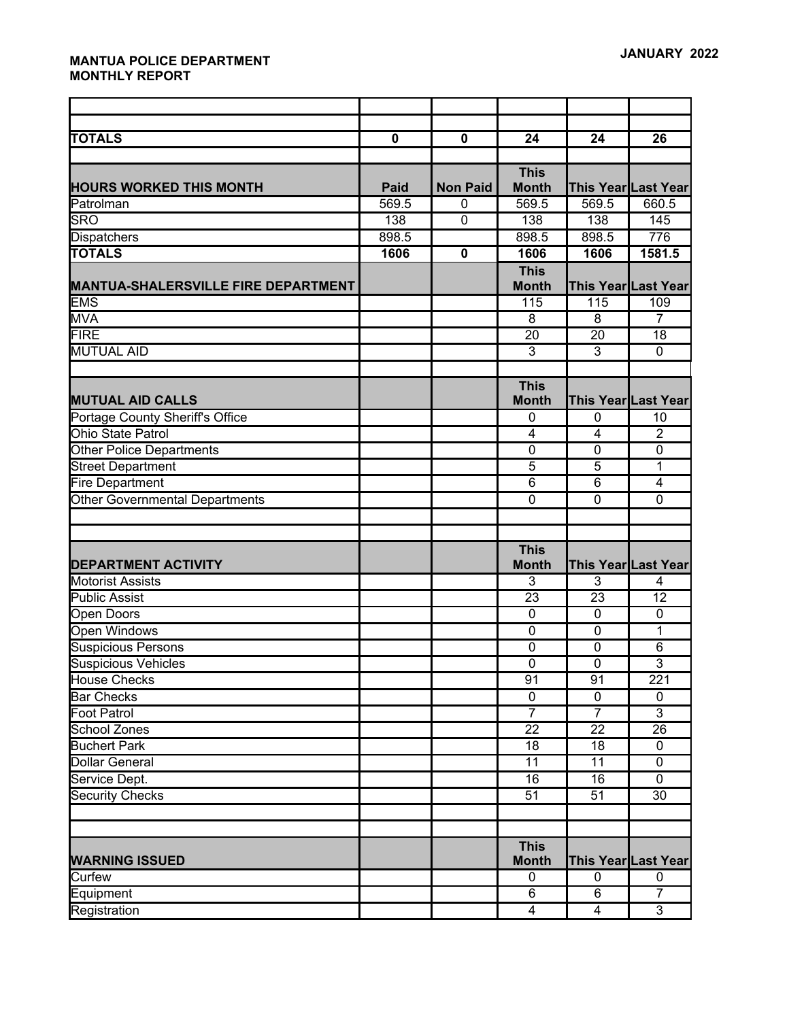| <b>TOTALS</b>                              | $\mathbf 0$ | $\mathbf 0$             | 24              | 24                      | 26                  |
|--------------------------------------------|-------------|-------------------------|-----------------|-------------------------|---------------------|
|                                            |             |                         | <b>This</b>     |                         |                     |
| <b>HOURS WORKED THIS MONTH</b>             | <b>Paid</b> | <b>Non Paid</b>         | <b>Month</b>    |                         | This Year Last Year |
| Patrolman                                  | 569.5       | $\mathbf{0}$            | 569.5           | 569.5                   | 660.5               |
| <b>SRO</b>                                 | 138         | $\mathbf 0$             | 138             | 138                     | 145                 |
| Dispatchers                                | 898.5       |                         | 898.5           | 898.5                   | 776                 |
| <b>TOTALS</b>                              | 1606        | $\overline{\mathbf{0}}$ | 1606            | 1606                    | 1581.5              |
|                                            |             |                         | <b>This</b>     |                         |                     |
| <b>MANTUA-SHALERSVILLE FIRE DEPARTMENT</b> |             |                         | <b>Month</b>    |                         | This Year Last Year |
| <b>EMS</b>                                 |             |                         | 115             | 115                     | 109                 |
| <b>MVA</b>                                 |             |                         | $\overline{8}$  | $\overline{8}$          | $\overline{7}$      |
| <b>FIRE</b>                                |             |                         | $\overline{20}$ | 20                      | 18                  |
| <b>MUTUAL AID</b>                          |             |                         | 3               | 3                       | $\mathbf 0$         |
|                                            |             |                         |                 |                         |                     |
|                                            |             |                         | <b>This</b>     |                         |                     |
| <b>MUTUAL AID CALLS</b>                    |             |                         | <b>Month</b>    |                         | This Year Last Year |
| Portage County Sheriff's Office            |             |                         | 0               | $\mathbf{0}$            | 10                  |
| <b>Ohio State Patrol</b>                   |             |                         | $\overline{4}$  | 4                       | $\overline{2}$      |
| <b>Other Police Departments</b>            |             |                         | $\mathbf 0$     | $\mathbf 0$             | $\overline{0}$      |
| <b>Street Department</b>                   |             |                         | $\overline{5}$  | $\overline{5}$          | 1                   |
| <b>Fire Department</b>                     |             |                         | $\overline{6}$  | $\overline{6}$          | $\overline{4}$      |
| Other Governmental Departments             |             |                         | $\mathbf 0$     | $\mathbf 0$             | $\mathbf 0$         |
|                                            |             |                         |                 |                         |                     |
|                                            |             |                         |                 |                         |                     |
|                                            |             |                         | <b>This</b>     |                         |                     |
| <b>DEPARTMENT ACTIVITY</b>                 |             |                         | <b>Month</b>    |                         | This Year Last Year |
| <b>Motorist Assists</b>                    |             |                         | $\overline{3}$  | $\overline{3}$          | 4                   |
| <b>Public Assist</b>                       |             |                         | 23              | 23                      | 12                  |
| Open Doors                                 |             |                         | $\mathbf 0$     | $\overline{0}$          | $\overline{0}$      |
| <b>Open Windows</b>                        |             |                         | $\overline{0}$  | $\overline{0}$          | 1                   |
| <b>Suspicious Persons</b>                  |             |                         | $\overline{0}$  | $\overline{0}$          | 6                   |
| <b>Suspicious Vehicles</b>                 |             |                         | $\mathbf 0$     | $\mathbf 0$             | $\mathfrak{B}$      |
| <b>House Checks</b>                        |             |                         | 91              | 91                      | 221                 |
| <b>Bar Checks</b>                          |             |                         | $\mathbf 0$     | $\mathbf 0$             | $\mathbf 0$         |
| Foot Patrol                                |             |                         | $\overline{7}$  | $\overline{7}$          | $\overline{3}$      |
| School Zones                               |             |                         | $\overline{22}$ | $\overline{22}$         | $\overline{26}$     |
| <b>Buchert Park</b>                        |             |                         | 18              | 18                      | $\mathbf 0$         |
| <b>Dollar General</b>                      |             |                         | $\overline{11}$ | $\overline{11}$         | $\overline{0}$      |
| Service Dept.                              |             |                         | 16              | 16                      | $\mathbf 0$         |
| <b>Security Checks</b>                     |             |                         | $\overline{51}$ | 51                      | 30                  |
|                                            |             |                         |                 |                         |                     |
|                                            |             |                         |                 |                         |                     |
|                                            |             |                         | <b>This</b>     |                         |                     |
| <b>WARNING ISSUED</b>                      |             |                         | <b>Month</b>    |                         | This Year Last Year |
| Curfew                                     |             |                         | $\pmb{0}$       | $\mathbf 0$             | 0                   |
| Equipment                                  |             |                         | $\overline{6}$  | $\overline{6}$          | $\overline{7}$      |
| Registration                               |             |                         | $\overline{4}$  | $\overline{\mathbf{4}}$ | $\overline{3}$      |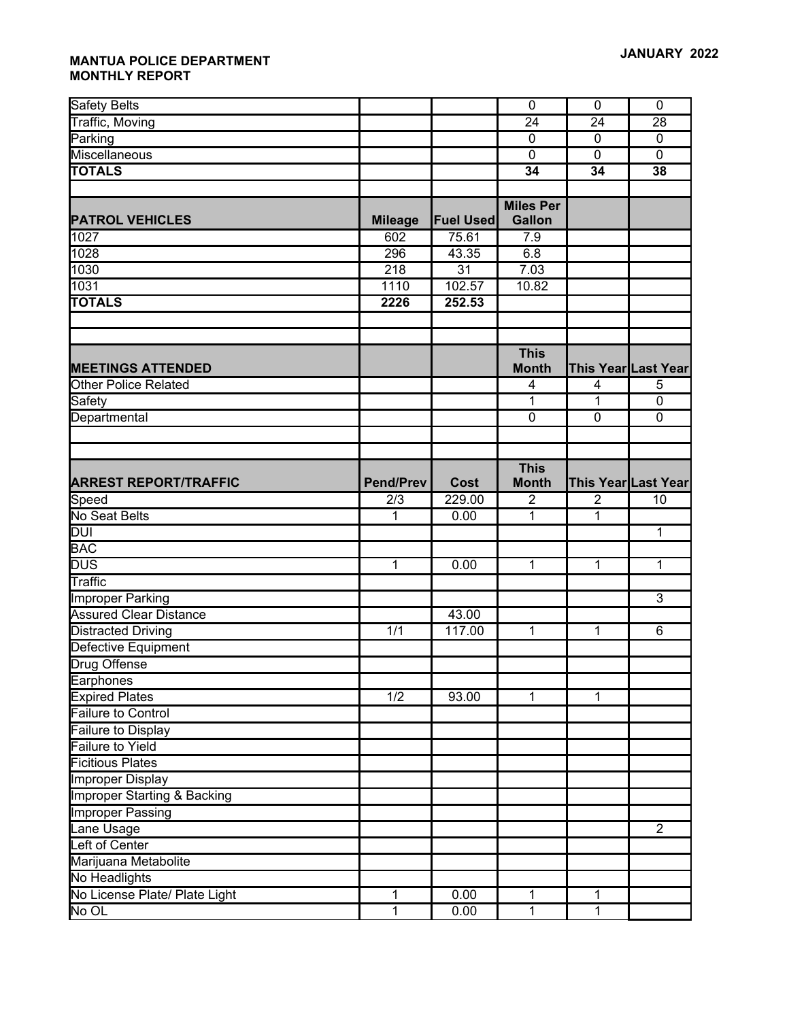| <b>Safety Belts</b>                               |                  |                  | $\overline{0}$   | $\overline{0}$  | $\overline{0}$      |
|---------------------------------------------------|------------------|------------------|------------------|-----------------|---------------------|
| <b>Traffic, Moving</b>                            |                  |                  | $\overline{24}$  | $\overline{24}$ | 28                  |
| Parking                                           |                  |                  | $\mathbf 0$      | $\overline{0}$  | $\mathbf 0$         |
| Miscellaneous                                     |                  |                  | $\overline{0}$   | $\overline{0}$  | $\mathbf 0$         |
| <b>TOTALS</b>                                     |                  |                  | $\overline{34}$  | 34              | 38                  |
|                                                   |                  |                  |                  |                 |                     |
|                                                   |                  |                  | <b>Miles Per</b> |                 |                     |
| <b>PATROL VEHICLES</b>                            | <b>Mileage</b>   | <b>Fuel Used</b> | <b>Gallon</b>    |                 |                     |
| 1027                                              | 602              | 75.61            | 7.9              |                 |                     |
| 1028                                              | 296              | 43.35            | 6.8              |                 |                     |
| 1030                                              | 218              | $\overline{31}$  | 7.03             |                 |                     |
| 1031                                              | 1110             | 102.57           | 10.82            |                 |                     |
| <b>TOTALS</b>                                     | 2226             | 252.53           |                  |                 |                     |
|                                                   |                  |                  |                  |                 |                     |
|                                                   |                  |                  |                  |                 |                     |
|                                                   |                  |                  | <b>This</b>      |                 |                     |
| <b>MEETINGS ATTENDED</b>                          |                  |                  | <b>Month</b>     |                 | This Year Last Year |
| <b>Other Police Related</b>                       |                  |                  | 4                | 4               | 5                   |
| Safety                                            |                  |                  | 1                | 1               | $\mathbf 0$         |
| Departmental                                      |                  |                  | $\mathbf 0$      | 0               | $\mathbf 0$         |
|                                                   |                  |                  |                  |                 |                     |
|                                                   |                  |                  |                  |                 |                     |
|                                                   |                  |                  | <b>This</b>      |                 |                     |
| <b>ARREST REPORT/TRAFFIC</b>                      | <b>Pend/Prev</b> | Cost             | <b>Month</b>     |                 | This Year Last Year |
| Speed                                             | 2/3              | 229.00           | $\overline{2}$   | $\overline{2}$  | 10                  |
| No Seat Belts                                     | 1                | 0.00             | 1                | 1               |                     |
| <b>DUI</b>                                        |                  |                  |                  |                 | $\mathbf{1}$        |
| <b>BAC</b>                                        |                  |                  |                  |                 |                     |
| <b>DUS</b><br>Traffic                             | $\mathbf{1}$     | 0.00             | $\mathbf{1}$     | $\mathbf 1$     | 1                   |
|                                                   |                  |                  |                  |                 | $\overline{3}$      |
| Improper Parking<br><b>Assured Clear Distance</b> |                  |                  |                  |                 |                     |
|                                                   | 1/1              | 43.00<br>117.00  | $\mathbf{1}$     | $\mathbf 1$     | 6                   |
| <b>Distracted Driving</b>                         |                  |                  |                  |                 |                     |
| Defective Equipment<br><b>Drug Offense</b>        |                  |                  |                  |                 |                     |
|                                                   |                  |                  |                  |                 |                     |
| Earphones<br><b>Expired Plates</b>                | $\overline{1/2}$ | 93.00            | $\mathbf{1}$     | 1               |                     |
| Failure to Control                                |                  |                  |                  |                 |                     |
| Failure to Display                                |                  |                  |                  |                 |                     |
| <b>Failure to Yield</b>                           |                  |                  |                  |                 |                     |
| <b>Ficitious Plates</b>                           |                  |                  |                  |                 |                     |
| <b>Improper Display</b>                           |                  |                  |                  |                 |                     |
| <b>Improper Starting &amp; Backing</b>            |                  |                  |                  |                 |                     |
| <b>Improper Passing</b>                           |                  |                  |                  |                 |                     |
| Lane Usage                                        |                  |                  |                  |                 | $\overline{2}$      |
| Left of Center                                    |                  |                  |                  |                 |                     |
| Marijuana Metabolite                              |                  |                  |                  |                 |                     |
| No Headlights                                     |                  |                  |                  |                 |                     |
| No License Plate/ Plate Light                     | $\mathbf{1}$     | 0.00             | 1                | 1               |                     |
| No OL                                             | $\overline{1}$   | 0.00             | $\mathbf{1}$     | 1               |                     |
|                                                   |                  |                  |                  |                 |                     |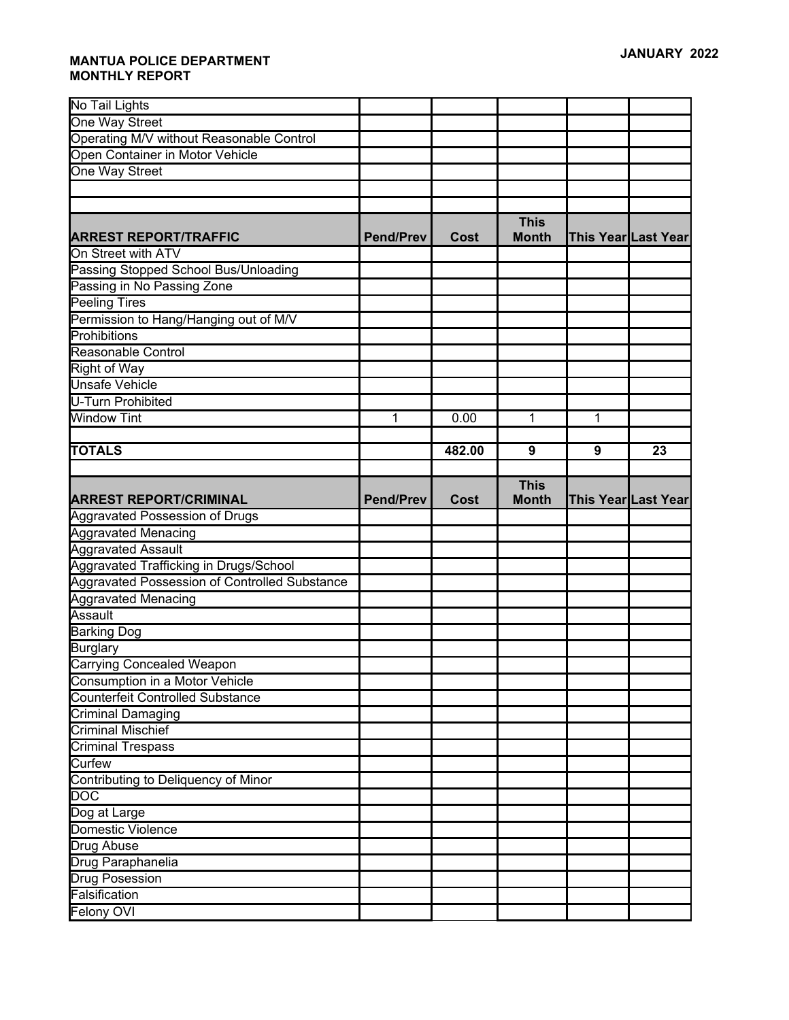| No Tail Lights                                                                          |                  |             |              |                     |                     |
|-----------------------------------------------------------------------------------------|------------------|-------------|--------------|---------------------|---------------------|
| One Way Street                                                                          |                  |             |              |                     |                     |
| Operating M/V without Reasonable Control                                                |                  |             |              |                     |                     |
| Open Container in Motor Vehicle                                                         |                  |             |              |                     |                     |
| One Way Street                                                                          |                  |             |              |                     |                     |
|                                                                                         |                  |             |              |                     |                     |
|                                                                                         |                  |             |              |                     |                     |
|                                                                                         |                  |             | <b>This</b>  |                     |                     |
| <b>ARREST REPORT/TRAFFIC</b>                                                            | <b>Pend/Prev</b> | <b>Cost</b> | <b>Month</b> |                     | This Year Last Year |
| On Street with ATV                                                                      |                  |             |              |                     |                     |
| Passing Stopped School Bus/Unloading                                                    |                  |             |              |                     |                     |
| Passing in No Passing Zone                                                              |                  |             |              |                     |                     |
| <b>Peeling Tires</b>                                                                    |                  |             |              |                     |                     |
| Permission to Hang/Hanging out of M/V                                                   |                  |             |              |                     |                     |
| Prohibitions                                                                            |                  |             |              |                     |                     |
| Reasonable Control                                                                      |                  |             |              |                     |                     |
| Right of Way                                                                            |                  |             |              |                     |                     |
| <b>Unsafe Vehicle</b>                                                                   |                  |             |              |                     |                     |
| U-Turn Prohibited                                                                       |                  |             |              |                     |                     |
| Window Tint                                                                             | 1                | 0.00        | 1            | 1                   |                     |
|                                                                                         |                  |             |              |                     |                     |
| <b>TOTALS</b>                                                                           |                  | 482.00      | 9            | 9                   | 23                  |
|                                                                                         |                  |             |              |                     |                     |
|                                                                                         |                  |             | <b>This</b>  |                     |                     |
|                                                                                         |                  |             |              |                     |                     |
| <b>ARREST REPORT/CRIMINAL</b>                                                           | <b>Pend/Prev</b> | Cost        | <b>Month</b> | This Year Last Year |                     |
| <b>Aggravated Possession of Drugs</b>                                                   |                  |             |              |                     |                     |
| <b>Aggravated Menacing</b>                                                              |                  |             |              |                     |                     |
| Aggravated Assault                                                                      |                  |             |              |                     |                     |
|                                                                                         |                  |             |              |                     |                     |
| Aggravated Trafficking in Drugs/School<br>Aggravated Possession of Controlled Substance |                  |             |              |                     |                     |
| <b>Aggravated Menacing</b>                                                              |                  |             |              |                     |                     |
| Assault                                                                                 |                  |             |              |                     |                     |
| <b>Barking Dog</b>                                                                      |                  |             |              |                     |                     |
| <b>Burglary</b>                                                                         |                  |             |              |                     |                     |
| <b>Carrying Concealed Weapon</b>                                                        |                  |             |              |                     |                     |
| Consumption in a Motor Vehicle                                                          |                  |             |              |                     |                     |
| <b>Counterfeit Controlled Substance</b>                                                 |                  |             |              |                     |                     |
| Criminal Damaging                                                                       |                  |             |              |                     |                     |
| <b>Criminal Mischief</b>                                                                |                  |             |              |                     |                     |
| <b>Criminal Trespass</b>                                                                |                  |             |              |                     |                     |
| Curfew                                                                                  |                  |             |              |                     |                     |
|                                                                                         |                  |             |              |                     |                     |
| Contributing to Deliquency of Minor<br>$\overline{DOC}$                                 |                  |             |              |                     |                     |
| Dog at Large                                                                            |                  |             |              |                     |                     |
| Domestic Violence                                                                       |                  |             |              |                     |                     |
| <b>Drug Abuse</b>                                                                       |                  |             |              |                     |                     |
| Drug Paraphanelia                                                                       |                  |             |              |                     |                     |
| <b>Drug Posession</b>                                                                   |                  |             |              |                     |                     |
| Falsification                                                                           |                  |             |              |                     |                     |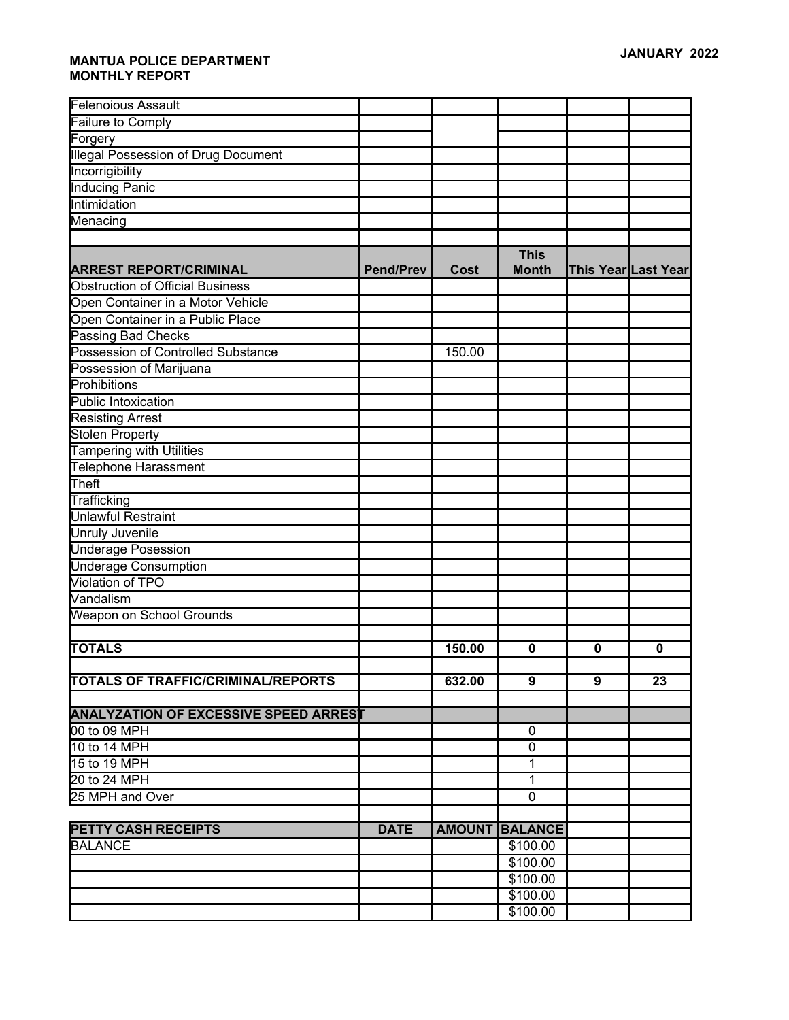| <b>Felenoious Assault</b>                    |                  |               |                             |             |                            |
|----------------------------------------------|------------------|---------------|-----------------------------|-------------|----------------------------|
| Failure to Comply                            |                  |               |                             |             |                            |
| Forgery                                      |                  |               |                             |             |                            |
| <b>Illegal Possession of Drug Document</b>   |                  |               |                             |             |                            |
| Incorrigibility                              |                  |               |                             |             |                            |
| <b>Inducing Panic</b>                        |                  |               |                             |             |                            |
| Intimidation                                 |                  |               |                             |             |                            |
| Menacing                                     |                  |               |                             |             |                            |
|                                              |                  |               |                             |             |                            |
| <b>ARREST REPORT/CRIMINAL</b>                | <b>Pend/Prev</b> | <b>Cost</b>   | <b>This</b><br><b>Month</b> |             | <b>This Year Last Year</b> |
| <b>Obstruction of Official Business</b>      |                  |               |                             |             |                            |
| Open Container in a Motor Vehicle            |                  |               |                             |             |                            |
| Open Container in a Public Place             |                  |               |                             |             |                            |
| <b>Passing Bad Checks</b>                    |                  |               |                             |             |                            |
| Possession of Controlled Substance           |                  | 150.00        |                             |             |                            |
| Possession of Marijuana                      |                  |               |                             |             |                            |
| Prohibitions                                 |                  |               |                             |             |                            |
| Public Intoxication                          |                  |               |                             |             |                            |
| <b>Resisting Arrest</b>                      |                  |               |                             |             |                            |
| <b>Stolen Property</b>                       |                  |               |                             |             |                            |
| <b>Tampering with Utilities</b>              |                  |               |                             |             |                            |
| <b>Telephone Harassment</b>                  |                  |               |                             |             |                            |
| Theft                                        |                  |               |                             |             |                            |
| Trafficking                                  |                  |               |                             |             |                            |
| <b>Unlawful Restraint</b>                    |                  |               |                             |             |                            |
| Unruly Juvenile                              |                  |               |                             |             |                            |
| <b>Underage Posession</b>                    |                  |               |                             |             |                            |
| <b>Underage Consumption</b>                  |                  |               |                             |             |                            |
| <b>Violation of TPO</b>                      |                  |               |                             |             |                            |
| Vandalism                                    |                  |               |                             |             |                            |
| Weapon on School Grounds                     |                  |               |                             |             |                            |
|                                              |                  |               |                             |             |                            |
| <b>TOTALS</b>                                |                  | 150.00        | 0                           | $\mathbf 0$ | 0                          |
|                                              |                  |               |                             |             |                            |
| <b>TOTALS OF TRAFFIC/CRIMINAL/REPORTS</b>    |                  | 632.00        | 9                           | 9           | $\overline{23}$            |
|                                              |                  |               |                             |             |                            |
| <b>ANALYZATION OF EXCESSIVE SPEED ARREST</b> |                  |               |                             |             |                            |
| 00 to 09 MPH                                 |                  |               | 0                           |             |                            |
| 10 to 14 MPH                                 |                  |               | 0                           |             |                            |
| 15 to 19 MPH                                 |                  |               | 1                           |             |                            |
| 20 to 24 MPH                                 |                  |               | 1                           |             |                            |
| 25 MPH and Over                              |                  |               | $\overline{0}$              |             |                            |
| <b>PETTY CASH RECEIPTS</b>                   | <b>DATE</b>      | <b>AMOUNT</b> | <b>BALANCE</b>              |             |                            |
| <b>BALANCE</b>                               |                  |               | \$100.00                    |             |                            |
|                                              |                  |               | \$100.00                    |             |                            |
|                                              |                  |               | \$100.00                    |             |                            |
|                                              |                  |               | \$100.00                    |             |                            |
|                                              |                  |               | \$100.00                    |             |                            |
|                                              |                  |               |                             |             |                            |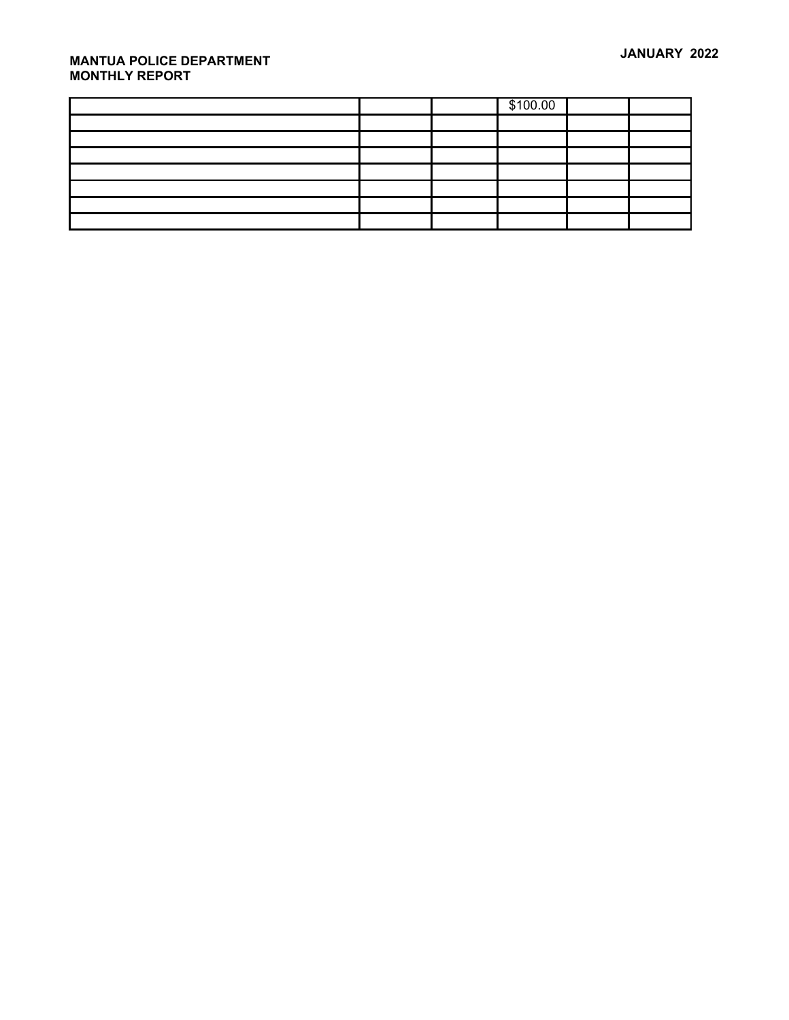|  | \$100.00 |  |
|--|----------|--|
|  |          |  |
|  |          |  |
|  |          |  |
|  |          |  |
|  |          |  |
|  |          |  |
|  |          |  |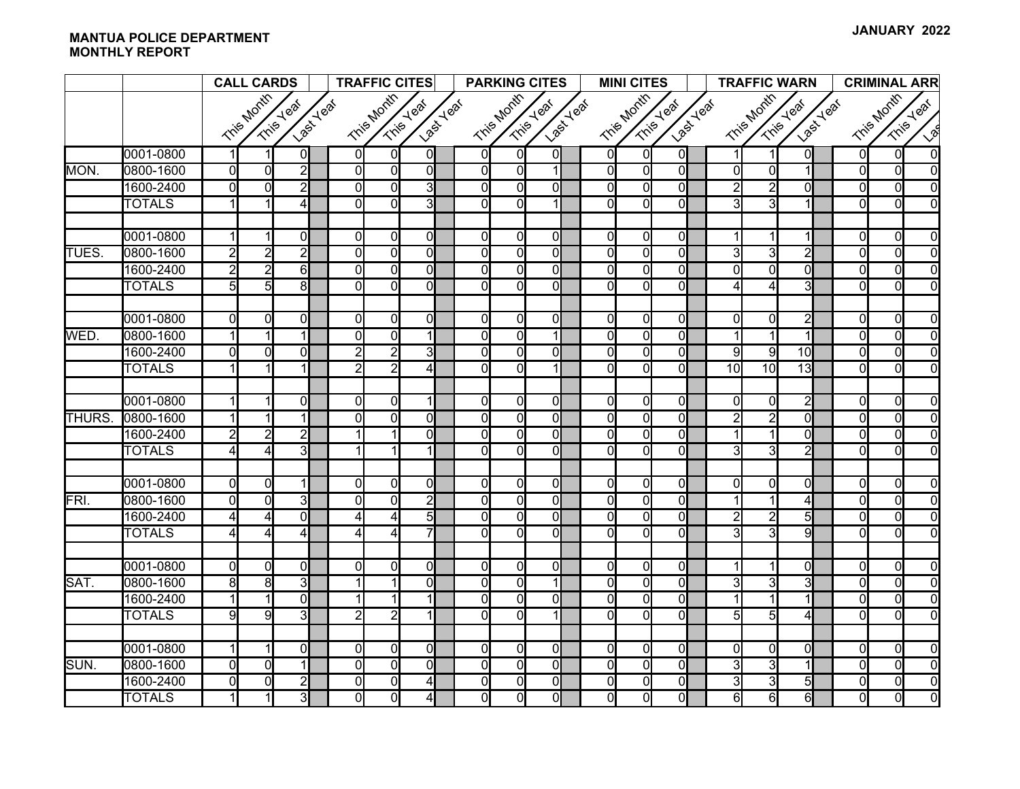|              |               | <b>CALL CARDS</b>                                   |                | <b>TRAFFIC CITES</b>                                |                |                | <b>PARKING CITES</b>                 |  |                | <b>MINI CITES</b> |                                              |  |                | <b>TRAFFIC WARN</b>                          |                |  | <b>CRIMINAL ARR</b>     |                |                 |                |                |                |
|--------------|---------------|-----------------------------------------------------|----------------|-----------------------------------------------------|----------------|----------------|--------------------------------------|--|----------------|-------------------|----------------------------------------------|--|----------------|----------------------------------------------|----------------|--|-------------------------|----------------|-----------------|----------------|----------------|----------------|
|              |               | Tris Month<br><b>Last Yeal</b><br><b>Trips Year</b> |                | Tris Month<br><b>Last Yeat</b><br><b>Trise Year</b> |                |                | Tris Month<br>Last Year<br>Tris Year |  |                |                   | Tris Month<br>Last Year<br><b>Trins Yeal</b> |  |                | Tris Month<br><b>Last Yeat</b><br>Trise Year |                |  | Tris Month<br>Tris Year |                |                 |                |                |                |
|              |               |                                                     |                |                                                     |                |                |                                      |  |                |                   |                                              |  |                |                                              |                |  |                         |                |                 |                |                | $\sqrt{2}$     |
|              | 0001-0800     |                                                     |                | $\overline{0}$                                      | Οl             | $\Omega$       | 0I                                   |  | $\Omega$       | $\Omega$          | 0I                                           |  | οI             | $\Omega$                                     | $\overline{0}$ |  |                         | 1              | 01              | $\Omega$       | $\Omega$       | $\Omega$       |
| MON.         | 0800-1600     | $\overline{0}$                                      | $\Omega$       | $\overline{2}$                                      | $\mathbf{0}$   | 0l             | $\Omega$                             |  | $\overline{0}$ | $\overline{0}$    | $\vert$                                      |  | $\overline{0}$ | ol                                           | $\overline{0}$ |  | $\Omega$                | $\overline{0}$ | $\mathbf{1}$    | $\overline{0}$ | $\Omega$       | $\Omega$       |
|              | 1600-2400     | $\overline{0}$                                      | $\Omega$       | $\overline{2}$                                      | Οl             | $\overline{0}$ | 3                                    |  | $\mathbf 0$    | $\overline{0}$    | $\overline{0}$                               |  | $\overline{0}$ | $\overline{0}$                               | $\overline{0}$ |  | $\overline{c}$          | $\overline{2}$ | Ωl              | $\overline{0}$ | $\Omega$       | $\Omega$       |
|              | <b>TOTALS</b> |                                                     |                | 4                                                   | $\Omega$       | $\Omega$       | $\overline{3}$                       |  | $\Omega$       | $\Omega$          | $\mathbf{1}$                                 |  | $\Omega$       | $\Omega$                                     | $\Omega$       |  | 3                       | 31             |                 | $\Omega$       | $\Omega$       | $\Omega$       |
|              |               |                                                     |                |                                                     |                |                |                                      |  |                |                   |                                              |  |                |                                              |                |  |                         |                |                 |                |                |                |
|              | 0001-0800     | $\mathbf{1}$                                        | 1              | $\mathbf{0}$                                        | οl             | $\overline{0}$ | $\overline{0}$                       |  | $\mathbf 0$    | $\overline{0}$    | $\overline{0}$                               |  | $\overline{0}$ | $\overline{0}$                               | $\overline{0}$ |  |                         | $\mathbf{1}$   | 1               | $\overline{0}$ | $\overline{0}$ | $\Omega$       |
| <b>TUES.</b> | 0800-1600     | $\overline{2}$                                      | $\overline{2}$ | $\overline{2}$                                      | $\overline{0}$ | $\overline{0}$ | $\Omega$                             |  | $\mathbf 0$    | $\overline{0}$    | $\overline{0}$                               |  | $\overline{0}$ | $\overline{0}$                               | $\overline{0}$ |  | 3                       | 3              | $\overline{2}$  | $\overline{0}$ | $\Omega$       | $\Omega$       |
|              | 1600-2400     | $\overline{2}$                                      | 2              | $6 \mid$                                            | $\Omega$       | $\Omega$       | $\Omega$                             |  | $\Omega$       | $\overline{0}$    | $\overline{0}$                               |  | οl             | $\Omega$                                     | $\overline{0}$ |  | $\Omega$                | 0l             | 0l              | $\Omega$       | $\Omega$       | $\Omega$       |
|              | <b>TOTALS</b> | 5                                                   | 5              | $\overline{8}$                                      | ΩI             | $\Omega$       | $\Omega$                             |  | $\Omega$       | $\overline{0}$    | $\overline{0}$                               |  | $\overline{0}$ | $\Omega$                                     | $\overline{0}$ |  | 4                       | $\overline{4}$ | 31              | $\Omega$       | $\Omega$       | $\Omega$       |
|              |               |                                                     |                |                                                     |                |                |                                      |  |                |                   |                                              |  |                |                                              |                |  |                         |                |                 |                |                |                |
|              | 0001-0800     | $\overline{0}$                                      | $\Omega$       | $\overline{0}$                                      | 0l             | 0l             | ΩI                                   |  | 0              | $\overline{0}$    | $\overline{0}$                               |  | $\overline{0}$ | $\overline{0}$                               | $\overline{0}$ |  | $\overline{0}$          | $\overline{0}$ | $\overline{2}$  | $\overline{0}$ | $\Omega$       | $\Omega$       |
| WED.         | 0800-1600     | $\vert$                                             |                | $\mathbf{1}$                                        | ΩI             | $\Omega$       |                                      |  | $\Omega$       | $\overline{0}$    | $\vert$                                      |  | $\overline{0}$ | $\Omega$                                     | $\overline{0}$ |  |                         | $\vert$        | $\mathbf{1}$    | $\Omega$       | $\Omega$       | $\Omega$       |
|              | 1600-2400     | Οl                                                  | $\Omega$       | $\overline{0}$                                      | $\overline{2}$ | $\overline{2}$ | $\overline{3}$                       |  | $\Omega$       | $\overline{0}$    | 0I                                           |  | $\overline{0}$ | ΩI                                           | $\overline{0}$ |  | 9                       | 9              | 10              | $\Omega$       | $\overline{0}$ | $\overline{0}$ |
|              | <b>TOTALS</b> | $\vert$                                             |                | 1                                                   | $\overline{2}$ | $\overline{2}$ | $\overline{4}$                       |  | $\Omega$       | $\Omega$          | $\mathbf{1}$                                 |  | $\Omega$       | $\Omega$                                     | $\overline{0}$ |  | 10                      | 10             | 13              | $\Omega$       | $\Omega$       | $\Omega$       |
|              |               |                                                     |                |                                                     |                |                |                                      |  |                |                   |                                              |  |                |                                              |                |  |                         |                |                 |                |                |                |
|              | 0001-0800     | 1                                                   |                | $\overline{0}$                                      | <sup>0</sup>   | $\Omega$       |                                      |  | $\Omega$       | $\overline{0}$    | $\overline{0}$                               |  | $\overline{0}$ | $\Omega$                                     | $\overline{0}$ |  | 0l                      | 0l             | $\overline{2}$  | $\Omega$       | $\Omega$       | $\Omega$       |
| <b>THURS</b> | 0800-1600     | 1                                                   |                | 1                                                   | ΩI             | $\Omega$       | ΩI                                   |  | $\Omega$       | $\overline{0}$    | $\overline{0}$                               |  | $\overline{0}$ | $\Omega$                                     | $\overline{0}$ |  | 2                       | $\overline{2}$ | 0               | $\overline{0}$ | $\Omega$       | $\Omega$       |
|              | 1600-2400     | $\overline{2}$                                      | $\overline{2}$ | $\overline{2}$                                      |                |                | ΩI                                   |  | $\Omega$       | $\overline{0}$    | <sub>0</sub>                                 |  | $\overline{0}$ | $\Omega$                                     | $\overline{0}$ |  |                         | 1              | 0               | $\Omega$       | $\Omega$       | $\Omega$       |
|              | <b>TOTALS</b> | $\boldsymbol{\Delta}$                               | Δ              | 3                                                   |                |                | 1                                    |  | $\Omega$       | $\overline{0}$    | $\overline{0}$                               |  | $\Omega$       | $\Omega$                                     | $\overline{0}$ |  | $\overline{\mathbf{3}}$ | 3              | $\overline{2}$  | $\Omega$       | $\Omega$       | $\Omega$       |
|              |               |                                                     |                |                                                     |                |                |                                      |  |                |                   |                                              |  |                |                                              |                |  |                         |                |                 |                |                |                |
|              | 0001-0800     | $\overline{0}$                                      | $\Omega$       | 1                                                   | $\Omega$       | $\Omega$       | $\Omega$                             |  | 0              | $\overline{0}$    | $\overline{0}$                               |  | $\overline{0}$ | $\Omega$                                     | $\overline{0}$ |  | $\Omega$                | 0              | $\Omega$        | $\Omega$       | $\Omega$       | $\Omega$       |
| FRI.         | 0800-1600     | $\overline{0}$                                      | $\Omega$       | $\overline{3}$                                      | ΩI             | $\Omega$       | $\overline{2}$                       |  | $\Omega$       | $\overline{0}$    | $\overline{0}$                               |  | $\overline{0}$ | $\Omega$                                     | $\overline{0}$ |  |                         | 1              | 4               | $\overline{0}$ | $\overline{0}$ | $\Omega$       |
|              | 1600-2400     | 4                                                   |                | $\Omega$                                            | $\overline{4}$ | 4              | 5 <sub>l</sub>                       |  | $\Omega$       | $\overline{0}$    | $\overline{0}$                               |  | $\overline{0}$ | $\Omega$                                     | $\overline{0}$ |  | 2                       | $\overline{2}$ | 5               | $\Omega$       | $\Omega$       | $\Omega$       |
|              | <b>TOTALS</b> | 4                                                   | Δ              | $\overline{4}$                                      | 4              | 41             |                                      |  | $\Omega$       | $\overline{0}$    | $\overline{0}$                               |  | $\overline{0}$ | $\Omega$                                     | $\overline{0}$ |  | 3                       | 31             | $\overline{9}$  | $\Omega$       | $\Omega$       | $\Omega$       |
|              |               |                                                     |                |                                                     |                |                |                                      |  |                |                   |                                              |  |                |                                              |                |  |                         |                |                 |                |                |                |
|              | 0001-0800     | $\mathsf{O}$                                        | $\mathbf{0}$   | ol                                                  | ΩI             | $\Omega$       | $\Omega$                             |  | 0              | $\overline{0}$    | ol                                           |  | $\overline{0}$ | $\overline{0}$                               | $\overline{0}$ |  |                         | 1              | 0               | $\overline{0}$ | 0l             | $\Omega$       |
| SAT.         | 0800-1600     | 8                                                   | 8              | $\overline{\mathsf{3}}$                             |                |                | $\Omega$                             |  | $\Omega$       | $\overline{0}$    | 1                                            |  | $\mathsf{O}$   | $\Omega$                                     | $\overline{0}$ |  | 3                       | $\overline{3}$ | 3               | $\Omega$       | $\Omega$       | $\Omega$       |
|              | 1600-2400     |                                                     |                | $\overline{0}$                                      |                |                |                                      |  | $\Omega$       | $\overline{0}$    | <sub>0</sub>                                 |  | $\overline{0}$ | $\Omega$                                     | $\overline{0}$ |  |                         |                |                 | $\overline{0}$ | $\Omega$       | $\Omega$       |
|              | <b>TOTALS</b> | 9                                                   | 9              | 3                                                   | $\overline{2}$ | $\overline{2}$ |                                      |  | $\Omega$       | $\overline{0}$    | $\mathbf{1}$                                 |  | $\overline{0}$ | $\Omega$                                     | $\overline{0}$ |  | 5 <sub>l</sub>          | 5              | $\overline{4}$  | $\overline{0}$ | $\Omega$       | $\Omega$       |
|              | 0001-0800     | $\vert$                                             | 1              | $\mathbf{0}$                                        | $\Omega$       | $\overline{0}$ | $\Omega$                             |  | $\Omega$       | $\overline{0}$    | $\overline{0}$                               |  | $\overline{0}$ | $\overline{0}$                               | $\overline{0}$ |  | $\overline{0}$          | 0l             | $\Omega$        | $\Omega$       | $\Omega$       | $\Omega$       |
| SUN.         | 0800-1600     | 0l                                                  | $\Omega$       | $\mathbf{1}$                                        | $\Omega$       | $\Omega$       | ΩI                                   |  | $\Omega$       | $\overline{0}$    | $\overline{0}$                               |  | $\overline{0}$ | $\Omega$                                     | $\overline{0}$ |  | 3                       | 31             |                 | $\Omega$       | $\Omega$       | $\overline{0}$ |
|              | 1600-2400     | $\overline{0}$                                      | $\overline{0}$ | $\overline{2}$                                      | $\overline{0}$ | $\overline{0}$ |                                      |  | 0              | $\overline{0}$    | $\overline{0}$                               |  | $\overline{0}$ | $\overline{0}$                               | $\overline{0}$ |  | 3                       | 3              | $5\overline{)}$ | $\overline{0}$ | $\Omega$       | $\overline{0}$ |
|              | <b>TOTALS</b> | $\mathbf{1}$                                        | 1              | 31                                                  | $\overline{0}$ | $\overline{0}$ | 4                                    |  | $\overline{0}$ | $\overline{0}$    | $\overline{0}$                               |  | $\overline{0}$ | $\overline{0}$                               | $\overline{0}$ |  | $6 \overline{}$         | 6              | $\overline{6}$  | $\overline{0}$ | $\overline{0}$ | $\overline{0}$ |
|              |               |                                                     |                |                                                     |                |                |                                      |  |                |                   |                                              |  |                |                                              |                |  |                         |                |                 |                |                |                |